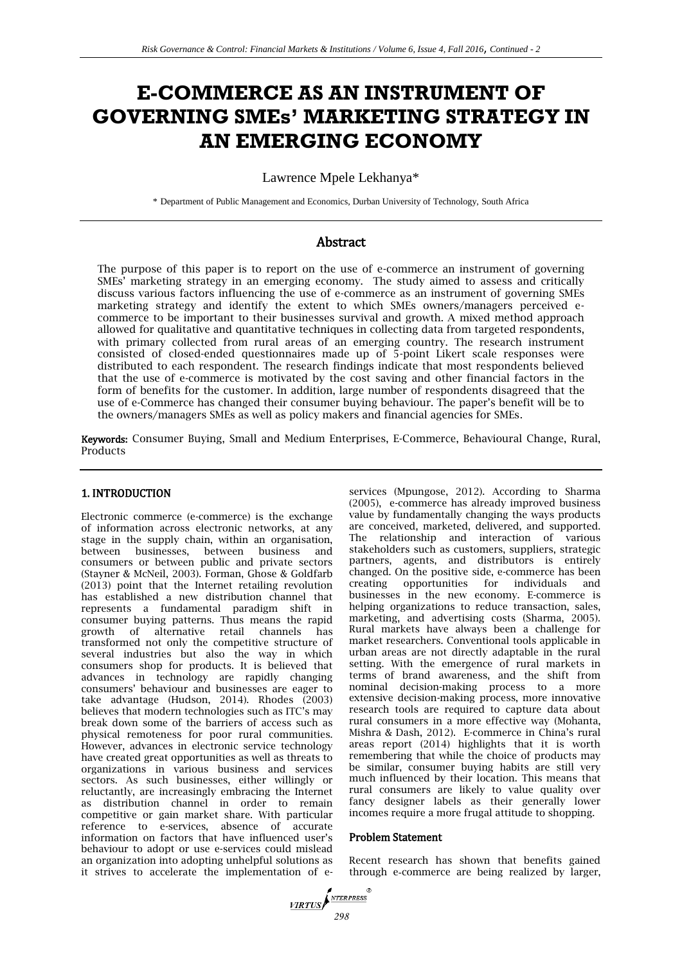# **E-COMMERCE AS AN INSTRUMENT OF GOVERNING SMEs' MARKETING STRATEGY IN AN EMERGING ECONOMY**

Lawrence Mpele Lekhanya\*

\* Department of Public Management and Economics, Durban University of Technology, South Africa

# Abstract

The purpose of this paper is to report on the use of e-commerce an instrument of governing SMEs' marketing strategy in an emerging economy. The study aimed to assess and critically discuss various factors influencing the use of e-commerce as an instrument of governing SMEs marketing strategy and identify the extent to which SMEs owners/managers perceived ecommerce to be important to their businesses survival and growth. A mixed method approach allowed for qualitative and quantitative techniques in collecting data from targeted respondents, with primary collected from rural areas of an emerging country. The research instrument consisted of closed-ended questionnaires made up of 5-point Likert scale responses were distributed to each respondent. The research findings indicate that most respondents believed that the use of e-commerce is motivated by the cost saving and other financial factors in the form of benefits for the customer. In addition, large number of respondents disagreed that the use of e-Commerce has changed their consumer buying behaviour. The paper's benefit will be to the owners/managers SMEs as well as policy makers and financial agencies for SMEs.

Keywords: Consumer Buying, Small and Medium Enterprises, E-Commerce, Behavioural Change, Rural, Products

## 1. INTRODUCTION

Electronic commerce (e-commerce) is the exchange of information across electronic networks, at any stage in the supply chain, within an organisation, between businesses, between business and consumers or between public and private sectors (Stayner & McNeil, 2003). Forman, Ghose & Goldfarb (2013) point that the Internet retailing revolution has established a new distribution channel that represents a fundamental paradigm shift in consumer buying patterns. Thus means the rapid growth of alternative retail channels has transformed not only the competitive structure of several industries but also the way in which consumers shop for products. It is believed that advances in technology are rapidly changing consumers' behaviour and businesses are eager to take advantage (Hudson, 2014). Rhodes (2003) believes that modern technologies such as ITC's may break down some of the barriers of access such as physical remoteness for poor rural communities. However, advances in electronic service technology have created great opportunities as well as threats to organizations in various business and services sectors. As such businesses, either willingly or reluctantly, are increasingly embracing the Internet as distribution channel in order to remain competitive or gain market share. With particular reference to e-services, absence of accurate information on factors that have influenced user's behaviour to adopt or use e-services could mislead an organization into adopting unhelpful solutions as it strives to accelerate the implementation of eservices (Mpungose, 2012). According to Sharma (2005), e-commerce has already improved business value by fundamentally changing the ways products are conceived, marketed, delivered, and supported. The relationship and interaction of various stakeholders such as customers, suppliers, strategic partners, agents, and distributors is entirely changed. On the positive side, e-commerce has been creating opportunities for individuals and businesses in the new economy. E-commerce is helping organizations to reduce transaction, sales, marketing, and advertising costs (Sharma, 2005). Rural markets have always been a challenge for market researchers. Conventional tools applicable in urban areas are not directly adaptable in the rural setting. With the emergence of rural markets in terms of brand awareness, and the shift from nominal decision-making process to a more extensive decision-making process, more innovative research tools are required to capture data about rural consumers in a more effective way (Mohanta, Mishra & Dash, 2012). E-commerce in China's rural areas report (2014) highlights that it is worth remembering that while the choice of products may be similar, consumer buying habits are still very much influenced by their location. This means that rural consumers are likely to value quality over fancy designer labels as their generally lower incomes require a more frugal attitude to shopping.

#### Problem Statement

Recent research has shown that benefits gained through e‐commerce are being realized by larger,

*<i><u>VIRTUS</u> 298*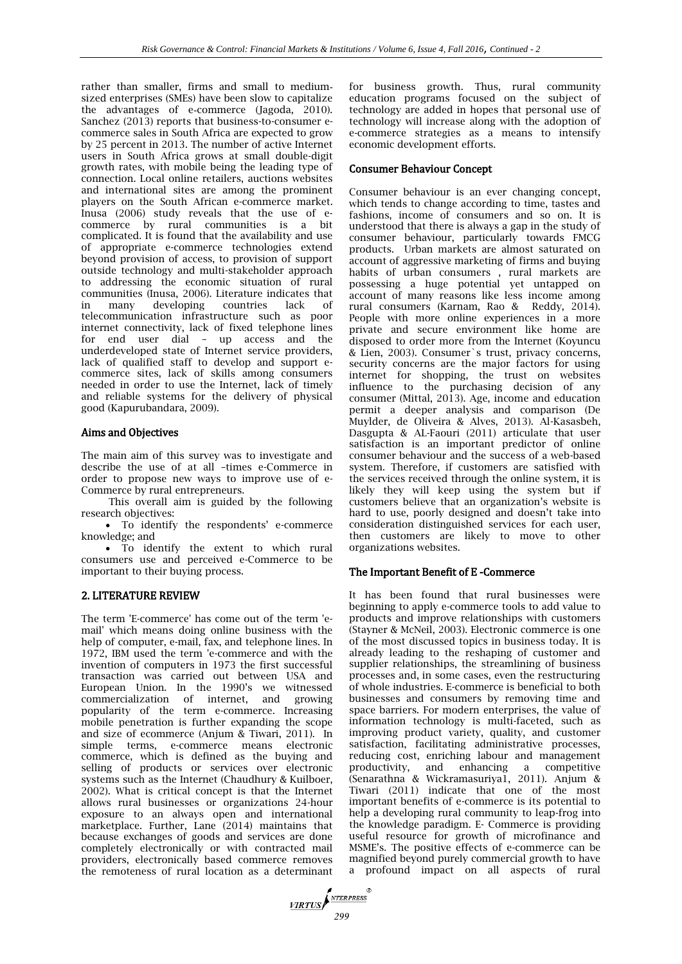rather than smaller, firms and small to medium‐ sized enterprises (SMEs) have been slow to capitalize the advantages of e-commerce (Jagoda, 2010). Sanchez (2013) reports that business-to-consumer ecommerce sales in South Africa are expected to grow by 25 percent in 2013. The number of active Internet users in South Africa grows at small double-digit growth rates, with mobile being the leading type of connection. Local online retailers, auctions websites and international sites are among the prominent players on the South African e-commerce market. Inusa (2006) study reveals that the use of ecommerce by rural communities is a bit complicated. It is found that the availability and use of appropriate e-commerce technologies extend beyond provision of access, to provision of support outside technology and multi-stakeholder approach to addressing the economic situation of rural communities (Inusa, 2006). Literature indicates that in many developing countries lack of telecommunication infrastructure such as poor internet connectivity, lack of fixed telephone lines for end user dial – up access and the underdeveloped state of Internet service providers, lack of qualified staff to develop and support ecommerce sites, lack of skills among consumers needed in order to use the Internet, lack of timely and reliable systems for the delivery of physical good (Kapurubandara, 2009).

#### Aims and Objectives

The main aim of this survey was to investigate and describe the use of at all –times e-Commerce in order to propose new ways to improve use of e-Commerce by rural entrepreneurs.

This overall aim is guided by the following research objectives:

 To identify the respondents' e-commerce knowledge; and

 To identify the extent to which rural consumers use and perceived e-Commerce to be important to their buying process.

#### 2. LITERATURE REVIEW

The term 'E-commerce' has come out of the term 'email' which means doing online business with the help of computer, e-mail, fax, and telephone lines. In 1972, IBM used the term 'e-commerce and with the invention of computers in 1973 the first successful transaction was carried out between USA and European Union. In the 1990's we witnessed commercialization of internet, and growing popularity of the term e-commerce. Increasing mobile penetration is further expanding the scope and size of ecommerce (Anjum & Tiwari, 2011). In simple terms, e-commerce means electronic commerce, which is defined as the buying and selling of products or services over electronic systems such as the Internet (Chaudhury & Kuilboer, 2002). What is critical concept is that the Internet allows rural businesses or organizations 24-hour exposure to an always open and international marketplace. Further, Lane (2014) maintains that because exchanges of goods and services are done completely electronically or with contracted mail providers, electronically based commerce removes the remoteness of rural location as a determinant for business growth. Thus, rural community education programs focused on the subject of technology are added in hopes that personal use of technology will increase along with the adoption of e-commerce strategies as a means to intensify economic development efforts.

#### Consumer Behaviour Concept

Consumer behaviour is an ever changing concept, which tends to change according to time, tastes and fashions, income of consumers and so on. It is understood that there is always a gap in the study of consumer behaviour, particularly towards FMCG products. Urban markets are almost saturated on account of aggressive marketing of firms and buying habits of urban consumers , rural markets are possessing a huge potential yet untapped on account of many reasons like less income among rural consumers (Karnam, Rao & Reddy, 2014). People with more online experiences in a more private and secure environment like home are disposed to order more from the Internet (Koyuncu & Lien, 2003). Consumer`s trust, privacy concerns, security concerns are the major factors for using internet for shopping, the trust on websites influence to the purchasing decision of any consumer (Mittal, 2013). Age, income and education permit a deeper analysis and comparison (De Muylder, de Oliveira & Alves, 2013). Al-Kasasbeh, Dasgupta & AL-Faouri (2011) articulate that user satisfaction is an important predictor of online consumer behaviour and the success of a web-based system. Therefore, if customers are satisfied with the services received through the online system, it is likely they will keep using the system but if customers believe that an organization's website is hard to use, poorly designed and doesn't take into consideration distinguished services for each user, then customers are likely to move to other organizations websites.

#### The Important Benefit of E -Commerce

It has been found that rural businesses were beginning to apply e-commerce tools to add value to products and improve relationships with customers (Stayner & McNeil, 2003). Electronic commerce is one of the most discussed topics in business today. It is already leading to the reshaping of customer and supplier relationships, the streamlining of business processes and, in some cases, even the restructuring of whole industries. E-commerce is beneficial to both businesses and consumers by removing time and space barriers. For modern enterprises, the value of information technology is multi-faceted, such as improving product variety, quality, and customer satisfaction, facilitating administrative processes, reducing cost, enriching labour and management productivity, and enhancing a competitive (Senarathna & Wickramasuriya1, 2011). Anjum & Tiwari (2011) indicate that one of the most important benefits of e-commerce is its potential to help a developing rural community to leap-frog into the knowledge paradigm. E- Commerce is providing useful resource for growth of microfinance and MSME's. The positive effects of e-commerce can be magnified beyond purely commercial growth to have a profound impact on all aspects of rural

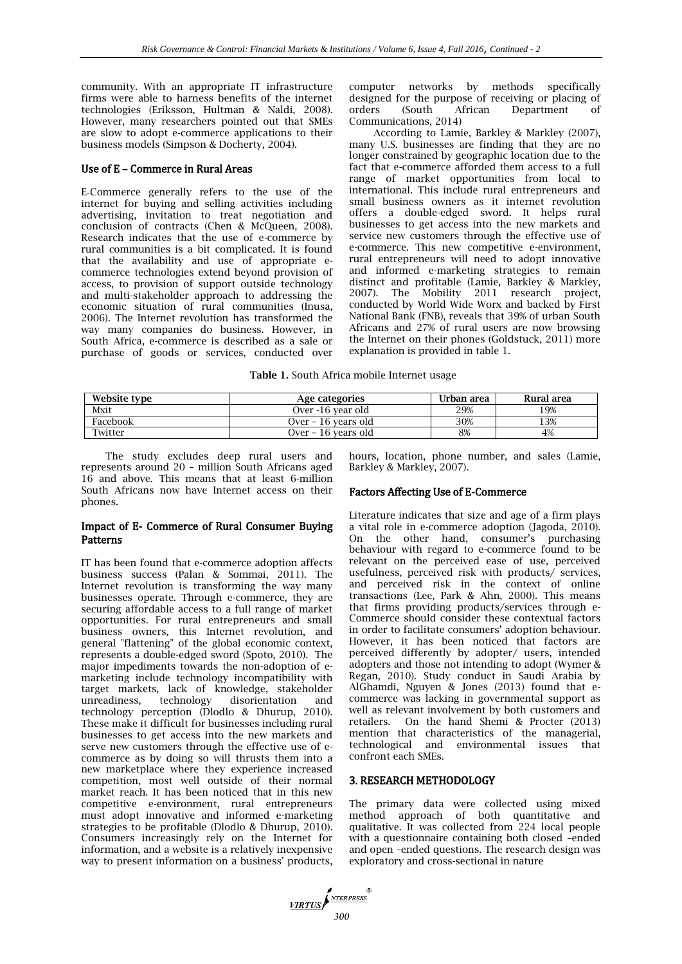community. With an appropriate IT infrastructure firms were able to harness benefits of the internet technologies (Eriksson, Hultman & Naldi, 2008). However, many researchers pointed out that SMEs are slow to adopt e-commerce applications to their business models (Simpson & Docherty, 2004).

#### Use of E – Commerce in Rural Areas

E‐Commerce generally refers to the use of the internet for buying and selling activities including advertising, invitation to treat negotiation and conclusion of contracts (Chen & McQueen, 2008). Research indicates that the use of e-commerce by rural communities is a bit complicated. It is found that the availability and use of appropriate ecommerce technologies extend beyond provision of access, to provision of support outside technology and multi-stakeholder approach to addressing the economic situation of rural communities (Inusa, 2006). The Internet revolution has transformed the way many companies do business. However, in South Africa, e-commerce is described as a sale or purchase of goods or services, conducted over

computer networks by methods specifically designed for the purpose of receiving or placing of orders (South African Department of Communications, 2014)

According to Lamie, Barkley & Markley (2007), many U.S. businesses are finding that they are no longer constrained by geographic location due to the fact that e-commerce afforded them access to a full range of market opportunities from local to international. This include rural entrepreneurs and small business owners as it internet revolution offers a double-edged sword. It helps rural businesses to get access into the new markets and service new customers through the effective use of e-commerce. This new competitive e-environment, rural entrepreneurs will need to adopt innovative and informed e-marketing strategies to remain distinct and profitable (Lamie, Barkley & Markley, 2007). The Mobility 2011 research project, conducted by World Wide Worx and backed by First National Bank (FNB), reveals that 39% of urban South Africans and 27% of rural users are now browsing the Internet on their phones (Goldstuck, 2011) more explanation is provided in table 1.

| <b>Table 1.</b> South Africa mobile Internet usage |  |  |  |  |  |  |  |
|----------------------------------------------------|--|--|--|--|--|--|--|
|----------------------------------------------------|--|--|--|--|--|--|--|

| Website type | Age categories      | Urban area | Rural area |
|--------------|---------------------|------------|------------|
| Mxit         | Over -16 vear old   | 29%        | 19%        |
| Facebook     | Over - 16 years old | 30%        | 13%        |
| Twitter      | Over - 16 years old | 8%         | 4%         |

The study excludes deep rural users and represents around 20 – million South Africans aged 16 and above. This means that at least 6-million South Africans now have Internet access on their phones.

#### Impact of E- Commerce of Rural Consumer Buying Patterns

IT has been found that e-commerce adoption affects business success (Palan & Sommai, 2011). The Internet revolution is transforming the way many businesses operate. Through e-commerce, they are securing affordable access to a full range of market opportunities. For rural entrepreneurs and small business owners, this Internet revolution, and general "flattening" of the global economic context, represents a double-edged sword (Spoto, 2010). The major impediments towards the non-adoption of emarketing include technology incompatibility with target markets, lack of knowledge, stakeholder unreadiness, technology disorientation and technology perception (Dlodlo & Dhurup, 2010). These make it difficult for businesses including rural businesses to get access into the new markets and serve new customers through the effective use of ecommerce as by doing so will thrusts them into a new marketplace where they experience increased competition, most well outside of their normal market reach. It has been noticed that in this new competitive e-environment, rural entrepreneurs must adopt innovative and informed e-marketing strategies to be profitable (Dlodlo & Dhurup, 2010). Consumers increasingly rely on the Internet for information, and a website is a relatively inexpensive way to present information on a business' products,

hours, location, phone number, and sales (Lamie, Barkley & Markley, 2007).

#### Factors Affecting Use of E-Commerce

Literature indicates that size and age of a firm plays a vital role in e-commerce adoption (Jagoda, 2010). On the other hand, consumer's purchasing behaviour with regard to e-commerce found to be relevant on the perceived ease of use, perceived usefulness, perceived risk with products/ services, and perceived risk in the context of online transactions (Lee, Park & Ahn, 2000). This means that firms providing products/services through e-Commerce should consider these contextual factors in order to facilitate consumers' adoption behaviour. However, it has been noticed that factors are perceived differently by adopter/ users, intended adopters and those not intending to adopt (Wymer & Regan, 2010). Study conduct in Saudi Arabia by AlGhamdi, Nguyen & Jones (2013) found that ecommerce was lacking in governmental support as well as relevant involvement by both customers and retailers. On the hand Shemi & Procter (2013) mention that characteristics of the managerial, technological and environmental issues that confront each SMEs.

## 3. RESEARCH METHODOLOGY

The primary data were collected using mixed method approach of both quantitative and qualitative. It was collected from 224 local people with a questionnaire containing both closed –ended and open –ended questions. The research design was exploratory and cross-sectional in nature

**VIRTUS**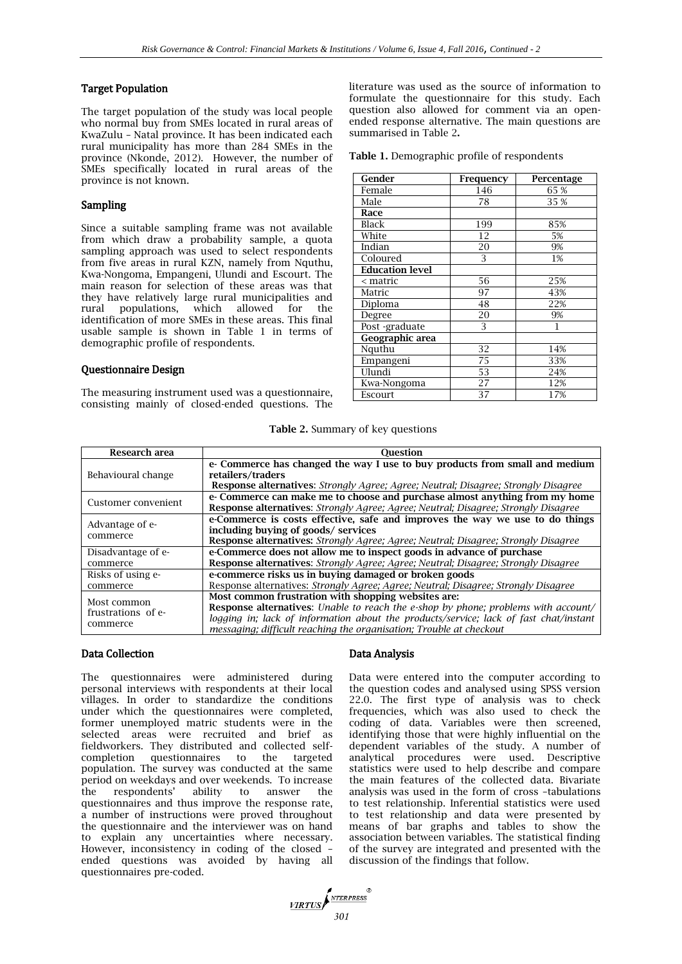#### Target Population

The target population of the study was local people who normal buy from SMEs located in rural areas of KwaZulu – Natal province. It has been indicated each rural municipality has more than 284 SMEs in the province (Nkonde, 2012). However, the number of SMEs specifically located in rural areas of the province is not known.

#### Sampling

Since a suitable sampling frame was not available from which draw a probability sample, a quota sampling approach was used to select respondents from five areas in rural KZN, namely from Nquthu, Kwa-Nongoma, Empangeni, Ulundi and Escourt. The main reason for selection of these areas was that they have relatively large rural municipalities and rural populations, which allowed for the identification of more SMEs in these areas. This final usable sample is shown in Table 1 in terms of demographic profile of respondents.

#### Questionnaire Design

The measuring instrument used was a questionnaire, consisting mainly of closed-ended questions. The literature was used as the source of information to formulate the questionnaire for this study. Each question also allowed for comment via an openended response alternative. The main questions are summarised in Table 2**.**

**Table 1.** Demographic profile of respondents

| Gender                 | Frequency | Percentage |
|------------------------|-----------|------------|
| Female                 | 146       | 65 %       |
| Male                   | 78        | 35 %       |
| Race                   |           |            |
| Black                  | 199       | 85%        |
| White                  | 12        | 5%         |
| Indian                 | 20        | 9%         |
| Coloured               | 3         | 1%         |
| <b>Education level</b> |           |            |
| < matric               | 56        | 25%        |
| Matric                 | 97        | 43%        |
| Diploma                | 48        | 22%        |
| Degree                 | 20        | 9%         |
| Post-graduate          | 3         | 1          |
| Geographic area        |           |            |
| Nguthu                 | 32        | 14%        |
| Empangeni              | 75        | 33%        |
| Ulundi                 | 53        | 24%        |
| Kwa-Nongoma            | 27        | 12%        |
| Escourt                | 37        | 17%        |

**Table 2.** Summary of key questions

| Research area       | <b>Ouestion</b>                                                                           |
|---------------------|-------------------------------------------------------------------------------------------|
|                     | e- Commerce has changed the way I use to buy products from small and medium               |
| Behavioural change  | retailers/traders                                                                         |
|                     | <b>Response alternatives:</b> Strongly Agree; Agree; Neutral; Disagree; Strongly Disagree |
| Customer convenient | e- Commerce can make me to choose and purchase almost anything from my home               |
|                     | Response alternatives: Strongly Agree; Agree; Neutral; Disagree; Strongly Disagree        |
| Advantage of e-     | e-Commerce is costs effective, safe and improves the way we use to do things              |
| commerce            | including buying of goods/ services                                                       |
|                     | <b>Response alternatives:</b> Strongly Agree; Agree; Neutral; Disagree; Strongly Disagree |
| Disadvantage of e-  | e-Commerce does not allow me to inspect goods in advance of purchase                      |
| commerce            | Response alternatives: Strongly Agree; Agree; Neutral; Disagree; Strongly Disagree        |
| Risks of using e-   | e-commerce risks us in buying damaged or broken goods                                     |
| commerce            | Response alternatives: Strongly Agree; Agree; Neutral; Disagree; Strongly Disagree        |
| Most common         | Most common frustration with shopping websites are:                                       |
| frustrations of e-  | Response alternatives: Unable to reach the e-shop by phone; problems with account/        |
| commerce            | logging in; lack of information about the products/service; lack of fast chat/instant     |
|                     | messaging; difficult reaching the organisation; Trouble at checkout                       |

#### Data Collection

The questionnaires were administered during personal interviews with respondents at their local villages. In order to standardize the conditions under which the questionnaires were completed, former unemployed matric students were in the selected areas were recruited and brief as fieldworkers. They distributed and collected selfcompletion questionnaires to the targeted population. The survey was conducted at the same period on weekdays and over weekends. To increase the respondents' ability to answer the questionnaires and thus improve the response rate, a number of instructions were proved throughout the questionnaire and the interviewer was on hand to explain any uncertainties where necessary. However, inconsistency in coding of the closed – ended questions was avoided by having all questionnaires pre-coded.

#### Data Analysis

Data were entered into the computer according to the question codes and analysed using SPSS version 22.0. The first type of analysis was to check frequencies, which was also used to check the coding of data. Variables were then screened, identifying those that were highly influential on the dependent variables of the study. A number of analytical procedures were used. Descriptive statistics were used to help describe and compare the main features of the collected data. Bivariate analysis was used in the form of cross –tabulations to test relationship. Inferential statistics were used to test relationship and data were presented by means of bar graphs and tables to show the association between variables. The statistical finding of the survey are integrated and presented with the discussion of the findings that follow.

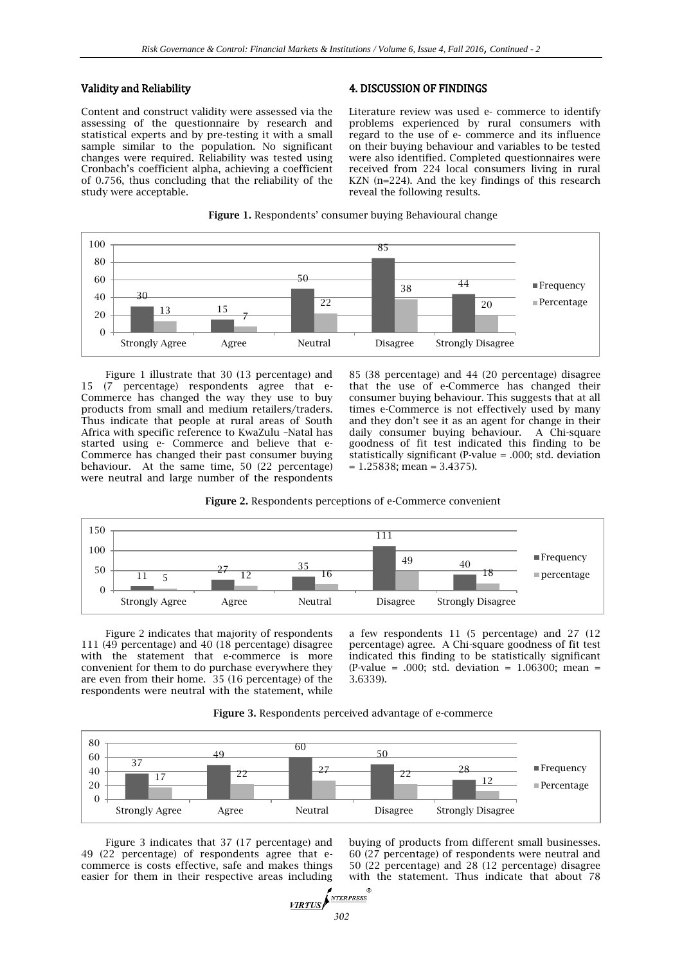#### Validity and Reliability

Content and construct validity were assessed via the assessing of the questionnaire by research and statistical experts and by pre-testing it with a small sample similar to the population. No significant changes were required. Reliability was tested using Cronbach's coefficient alpha, achieving a coefficient of 0.756, thus concluding that the reliability of the study were acceptable.

#### 4. DISCUSSION OF FINDINGS

Literature review was used e- commerce to identify problems experienced by rural consumers with regard to the use of e- commerce and its influence on their buying behaviour and variables to be tested were also identified. Completed questionnaires were received from 224 local consumers living in rural KZN (n=224). And the key findings of this research reveal the following results.





Figure 1 illustrate that 30 (13 percentage) and 15 (7 percentage) respondents agree that e-Commerce has changed the way they use to buy products from small and medium retailers/traders. Thus indicate that people at rural areas of South Africa with specific reference to KwaZulu –Natal has started using e- Commerce and believe that e-Commerce has changed their past consumer buying behaviour. At the same time, 50 (22 percentage) were neutral and large number of the respondents

85 (38 percentage) and 44 (20 percentage) disagree that the use of e-Commerce has changed their consumer buying behaviour. This suggests that at all times e-Commerce is not effectively used by many and they don't see it as an agent for change in their daily consumer buying behaviour. A Chi-square goodness of fit test indicated this finding to be statistically significant (P-value = .000; std. deviation  $= 1.25838$ ; mean  $= 3.4375$ ).





Figure 2 indicates that majority of respondents 111 (49 percentage) and 40 (18 percentage) disagree with the statement that e-commerce is more convenient for them to do purchase everywhere they are even from their home. 35 (16 percentage) of the respondents were neutral with the statement, while

a few respondents 11 (5 percentage) and 27 (12 percentage) agree. A Chi-square goodness of fit test indicated this finding to be statistically significant (P-value = .000; std. deviation =  $1.06300$ ; mean = 3.6339).



**Figure 3.** Respondents perceived advantage of e-commerce

Figure 3 indicates that 37 (17 percentage) and 49 (22 percentage) of respondents agree that ecommerce is costs effective, safe and makes things easier for them in their respective areas including buying of products from different small businesses. 60 (27 percentage) of respondents were neutral and 50 (22 percentage) and 28 (12 percentage) disagree with the statement. Thus indicate that about 78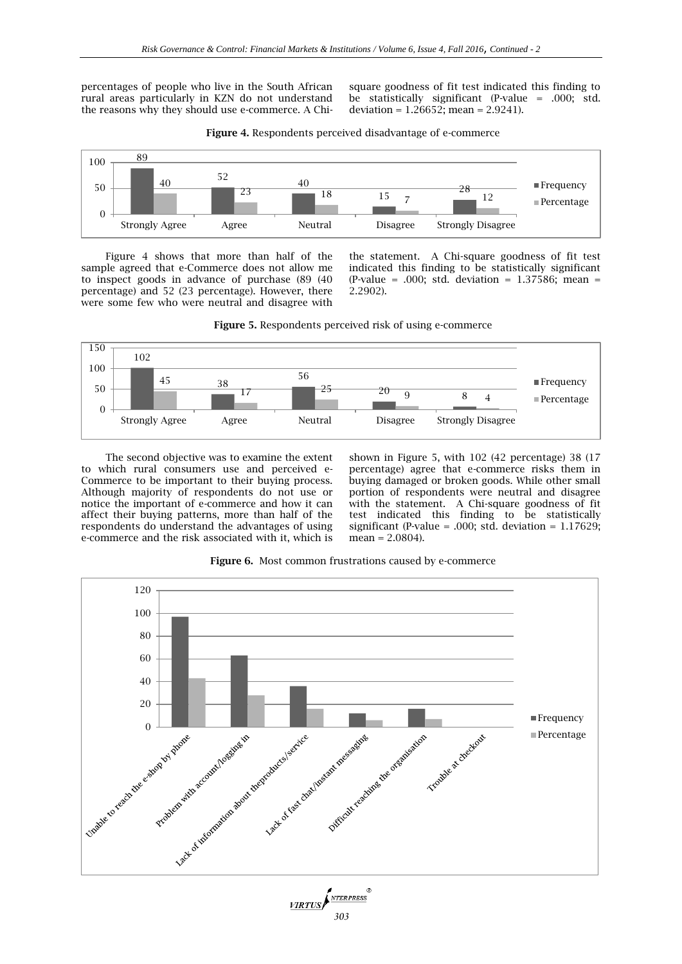percentages of people who live in the South African rural areas particularly in KZN do not understand the reasons why they should use e-commerce. A Chi-

square goodness of fit test indicated this finding to be statistically significant (P-value = .000; std. deviation =  $1.26652$ ; mean =  $2.9241$ ).



**Figure 4.** Respondents perceived disadvantage of e-commerce

Figure 4 shows that more than half of the sample agreed that e-Commerce does not allow me to inspect goods in advance of purchase (89 (40 percentage) and 52 (23 percentage). However, there were some few who were neutral and disagree with

the statement. A Chi-square goodness of fit test indicated this finding to be statistically significant (P-value = .000; std. deviation =  $1.37586$ ; mean = 2.2902).





The second objective was to examine the extent to which rural consumers use and perceived e-Commerce to be important to their buying process. Although majority of respondents do not use or notice the important of e-commerce and how it can affect their buying patterns, more than half of the respondents do understand the advantages of using e-commerce and the risk associated with it, which is

shown in Figure 5, with 102 (42 percentage) 38 (17 percentage) agree that e-commerce risks them in buying damaged or broken goods. While other small portion of respondents were neutral and disagree with the statement. A Chi-square goodness of fit test indicated this finding to be statistically significant (P-value = .000; std. deviation =  $1.17629$ ; mean = 2.0804).



**Figure 6.** Most common frustrations caused by e-commerce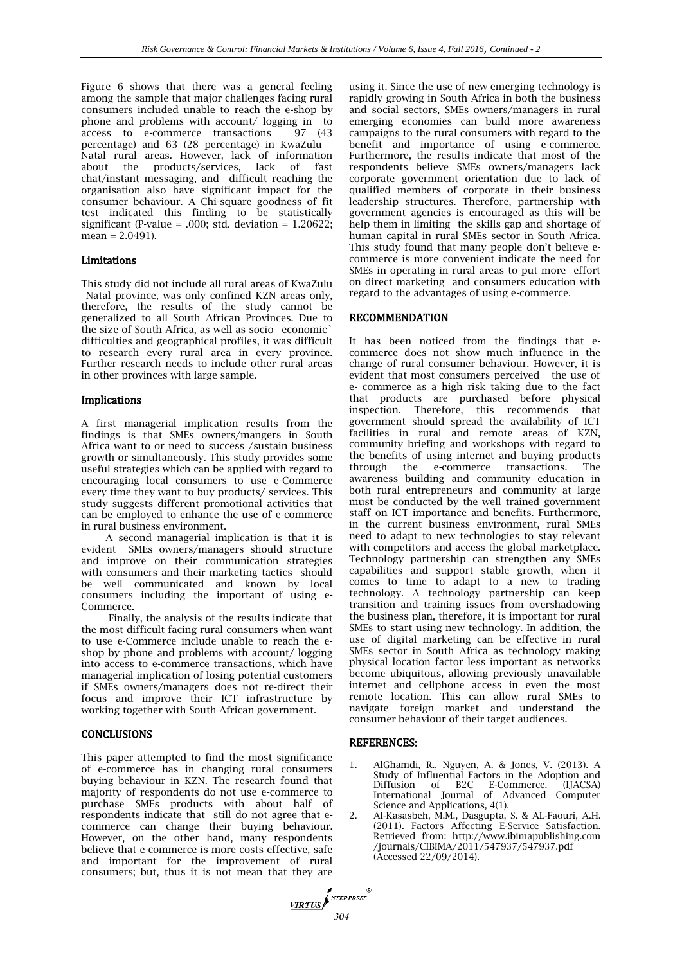Figure 6 shows that there was a general feeling among the sample that major challenges facing rural consumers included unable to reach the e-shop by phone and problems with account/ logging in to access to e-commerce transactions 97 (43) access to e-commerce transactions percentage) and 63 (28 percentage) in KwaZulu – Natal rural areas. However, lack of information about the products/services, lack of fast chat/instant messaging, and difficult reaching the organisation also have significant impact for the consumer behaviour. A Chi-square goodness of fit test indicated this finding to be statistically significant (P-value = .000; std. deviation =  $1.20622$ ; mean = 2.0491).

#### Limitations

This study did not include all rural areas of KwaZulu –Natal province, was only confined KZN areas only, therefore, the results of the study cannot be generalized to all South African Provinces. Due to the size of South Africa, as well as socio –economic` difficulties and geographical profiles, it was difficult to research every rural area in every province. Further research needs to include other rural areas in other provinces with large sample.

#### Implications

A first managerial implication results from the findings is that SMEs owners/mangers in South Africa want to or need to success /sustain business growth or simultaneously. This study provides some useful strategies which can be applied with regard to encouraging local consumers to use e-Commerce every time they want to buy products/ services. This study suggests different promotional activities that can be employed to enhance the use of e-commerce in rural business environment.

A second managerial implication is that it is evident SMEs owners/managers should structure and improve on their communication strategies with consumers and their marketing tactics should be well communicated and known by local consumers including the important of using e-Commerce.

Finally, the analysis of the results indicate that the most difficult facing rural consumers when want to use e-Commerce include unable to reach the eshop by phone and problems with account/ logging into access to e-commerce transactions, which have managerial implication of losing potential customers if SMEs owners/managers does not re-direct their focus and improve their ICT infrastructure by working together with South African government.

#### **CONCLUSIONS**

This paper attempted to find the most significance of e-commerce has in changing rural consumers buying behaviour in KZN. The research found that majority of respondents do not use e-commerce to purchase SMEs products with about half of respondents indicate that still do not agree that ecommerce can change their buying behaviour. However, on the other hand, many respondents believe that e-commerce is more costs effective, safe and important for the improvement of rural consumers; but, thus it is not mean that they are

using it. Since the use of new emerging technology is rapidly growing in South Africa in both the business and social sectors, SMEs owners/managers in rural emerging economies can build more awareness campaigns to the rural consumers with regard to the benefit and importance of using e-commerce. Furthermore, the results indicate that most of the respondents believe SMEs owners/managers lack corporate government orientation due to lack of qualified members of corporate in their business leadership structures. Therefore, partnership with government agencies is encouraged as this will be help them in limiting the skills gap and shortage of human capital in rural SMEs sector in South Africa. This study found that many people don't believe ecommerce is more convenient indicate the need for SMEs in operating in rural areas to put more effort on direct marketing and consumers education with regard to the advantages of using e-commerce.

#### RECOMMENDATION

It has been noticed from the findings that ecommerce does not show much influence in the change of rural consumer behaviour. However, it is evident that most consumers perceived the use of e- commerce as a high risk taking due to the fact that products are purchased before physical inspection. Therefore, this recommends that government should spread the availability of ICT facilities in rural and remote areas of KZN, community briefing and workshops with regard to the benefits of using internet and buying products through the e-commerce transactions. The awareness building and community education in both rural entrepreneurs and community at large must be conducted by the well trained government staff on ICT importance and benefits. Furthermore, in the current business environment, rural SMEs need to adapt to new technologies to stay relevant with competitors and access the global marketplace. Technology partnership can strengthen any SMEs capabilities and support stable growth, when it comes to time to adapt to a new to trading technology. A technology partnership can keep transition and training issues from overshadowing the business plan, therefore, it is important for rural SMEs to start using new technology. In addition, the use of digital marketing can be effective in rural SMEs sector in South Africa as technology making physical location factor less important as networks become ubiquitous, allowing previously unavailable internet and cellphone access in even the most remote location. This can allow rural SMEs to navigate foreign market and understand the consumer behaviour of their target audiences.

#### REFERENCES:

*304*

 $VRTUS$ 

NTERPRESS

- 1. AlGhamdi, R., Nguyen, A. & Jones, V. (2013). A Study of Influential Factors in the Adoption and Diffusion of B2C E-Commerce. (IJACSA) International Journal of Advanced Computer Science and Applications, 4(1).
- 2. Al-Kasasbeh, M.M., Dasgupta, S. & AL-Faouri, A.H. (2011). Factors Affecting E-Service Satisfaction. Retrieved from: [http://www.ibimapublishing.com](http://www.ibimapublishing.com/journals/CIBIMA/2011/547937/547937.pdf) [/journals/CIBIMA/2011/547937/547937.pdf](http://www.ibimapublishing.com/journals/CIBIMA/2011/547937/547937.pdf) (Accessed 22/09/2014).